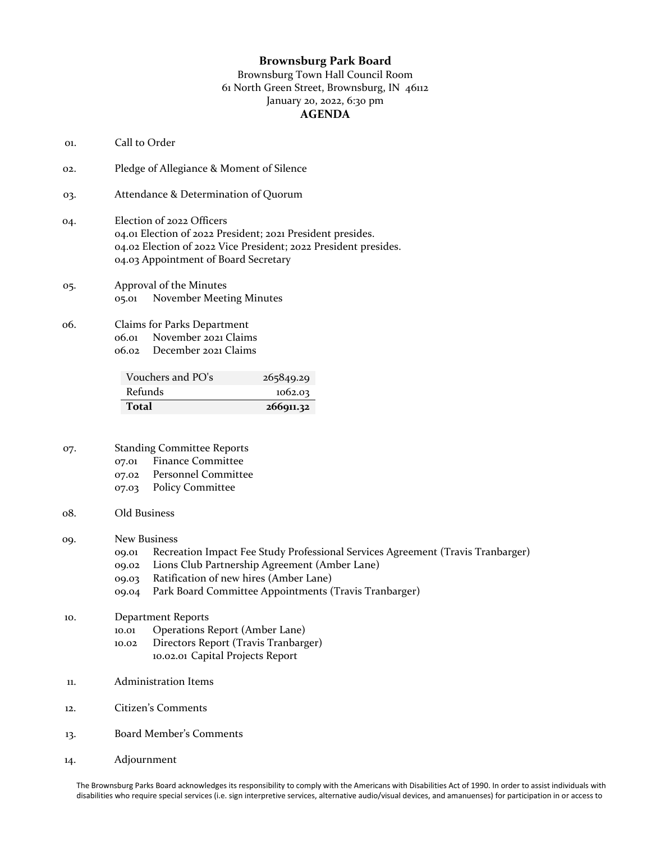## **Brownsburg Park Board**

## Brownsburg Town Hall Council Room 61 North Green Street, Brownsburg, IN 46112 January 20, 2022, 6:30 pm **AGENDA**

- 01. Call to Order
- 02. Pledge of Allegiance & Moment of Silence
- 03. Attendance & Determination of Quorum
- 04. Election of 2022 Officers 04.01 Election of 2022 President; 2021 President presides. 04.02 Election of 2022 Vice President; 2022 President presides. 04.03 Appointment of Board Secretary
- 05. Approval of the Minutes 05.01 November Meeting Minutes
- 06. Claims for Parks Department 06.01 November 2021 Claims 06.02 December 2021 Claims

| Vouchers and PO's | 265849.29 |
|-------------------|-----------|
| <b>Refunds</b>    | 1062.03   |
| <b>Total</b>      | 266911.32 |

- 07. Standing Committee Reports
	- 07.01 Finance Committee
	- 07.02 Personnel Committee
	- 07.03 Policy Committee
- 08. Old Business

09. New Business

- 09.01 Recreation Impact Fee Study Professional Services Agreement (Travis Tranbarger)
- 09.02 Lions Club Partnership Agreement (Amber Lane)
- 09.03 Ratification of new hires (Amber Lane)
- 09.04 Park Board Committee Appointments (Travis Tranbarger)
- 10. Department Reports
	- 10.01 Operations Report (Amber Lane)
	- 10.02 Directors Report (Travis Tranbarger)
		- 10.02.01 Capital Projects Report
- 11. Administration Items
- 12. Citizen's Comments
- 13. Board Member's Comments
- 14. Adjournment

The Brownsburg Parks Board acknowledges its responsibility to comply with the Americans with Disabilities Act of 1990. In order to assist individuals with disabilities who require special services (i.e. sign interpretive services, alternative audio/visual devices, and amanuenses) for participation in or access to